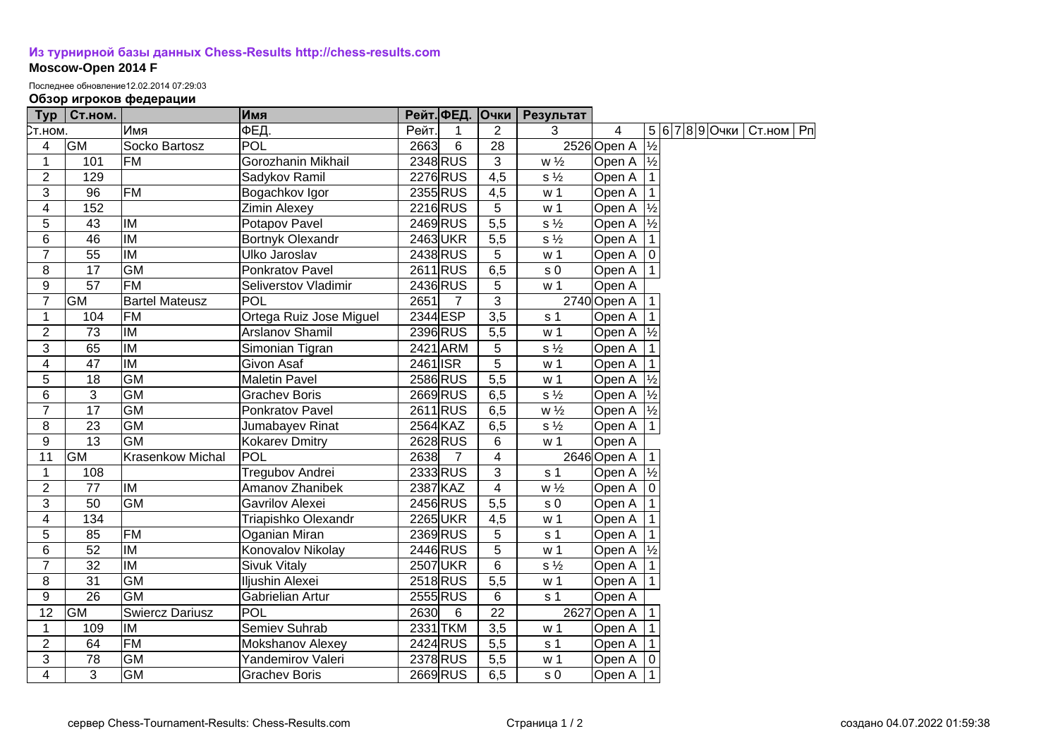## **[Из турнирной базы данных Chess-Results http://chess-results.com](http://chess-results.com/) Moscow-Open 2014 F**

Последнее обновление12.02.2014 07:29:03

## **Обзор игроков федерации**

| Typ             | Ст.ном.         |                          | Имя                     |          |                | Рейт. ФЕД. Очки  | Результат      |                      |               |                |             |  |
|-----------------|-----------------|--------------------------|-------------------------|----------|----------------|------------------|----------------|----------------------|---------------|----------------|-------------|--|
| Ст.ном.         |                 | Имя                      | ФЕД.                    | Рейт.    | 1              | $\overline{2}$   | 3              | 4                    |               | 5 6 7 8 9 Очки | Ст.ном   Рп |  |
| 4               | <b>GM</b>       | Socko Bartosz            | <b>POL</b>              | 2663     | 6              | $\overline{28}$  |                | 2526 Open A          | $\frac{1}{2}$ |                |             |  |
| $\mathbf{1}$    | 101             | <b>FM</b>                | Gorozhanin Mikhail      |          | 2348 RUS       | $\overline{3}$   | $w\frac{1}{2}$ | Open A $\frac{1}{2}$ |               |                |             |  |
| $\overline{2}$  | 129             |                          | Sadykov Ramil           |          | 2276 RUS       | $\overline{4,5}$ | $s\frac{1}{2}$ | Open A               |               |                |             |  |
| 3               | 96              | <b>FM</b>                | Bogachkov Igor          |          | 2355 RUS       | 4,5              | w <sub>1</sub> | Open A               |               |                |             |  |
| 4               | 152             |                          | <b>Zimin Alexey</b>     |          | 2216 RUS       | 5                | w <sub>1</sub> | Open A               | $\frac{1}{2}$ |                |             |  |
| 5               | $\overline{43}$ | IM                       | Potapov Pavel           |          | 2469 RUS       | 5,5              | $s\frac{1}{2}$ | Open A               | $\frac{1}{2}$ |                |             |  |
| 6               | $\overline{46}$ | $\overline{M}$           | Bortnyk Olexandr        |          | 2463UKR        | 5,5              | $s\frac{1}{2}$ | Open A               |               |                |             |  |
| $\overline{7}$  | 55              | <b>IM</b>                | Ulko Jaroslav           |          | 2438 RUS       | 5                | w <sub>1</sub> | Open A   0           |               |                |             |  |
| 8               | 17              | <b>GM</b>                | Ponkratov Pavel         |          | 2611 RUS       | 6,5              | s <sub>0</sub> | Open A   1           |               |                |             |  |
| $9$             | 57              | FM                       | Seliverstov Vladimir    |          | 2436 RUS       | 5                | w <sub>1</sub> | Open A               |               |                |             |  |
| $\overline{7}$  | GM              | <b>Bartel Mateusz</b>    | POL                     | 2651     | $\overline{7}$ | 3                |                | 2740 Open A          |               |                |             |  |
| 1               | 104             | <b>FM</b>                | Ortega Ruiz Jose Miguel | 2344 ESP |                | 3,5              | s <sub>1</sub> | Open A               |               |                |             |  |
| $\overline{2}$  | 73              | IM                       | Arslanov Shamil         |          | 2396 RUS       | 5,5              | w <sub>1</sub> | Open A $\frac{1}{2}$ |               |                |             |  |
| 3               | 65              | IM                       | Simonian Tigran         |          | 2421 ARM       | 5                | $s\frac{1}{2}$ | Open A               |               |                |             |  |
| 4               | 47              | IM                       | Givon Asaf              | 2461 ISR |                | 5                | w <sub>1</sub> | Open A               |               |                |             |  |
| 5               | 18              | <b>GM</b>                | <b>Maletin Pavel</b>    |          | 2586 RUS       | $\overline{5,5}$ | w <sub>1</sub> | Open A $\frac{1}{2}$ |               |                |             |  |
| 6               | 3               | <b>GM</b>                | <b>Grachev Boris</b>    |          | 2669RUS        | 6,5              | $s\frac{1}{2}$ | Open A $\frac{1}{2}$ |               |                |             |  |
| $\overline{7}$  | 17              | <b>GM</b>                | Ponkratov Pavel         |          | 2611 RUS       | 6,5              | $w\frac{1}{2}$ | Open A  ½            |               |                |             |  |
| 8               | 23              | <b>GM</b>                | Jumabayev Rinat         | 2564 KAZ |                | 6,5              | $s\frac{1}{2}$ | Open A               | $\vert$ 1     |                |             |  |
| 9               | 13              | <b>GM</b>                | Kokarev Dmitry          |          | 2628 RUS       | 6                | w <sub>1</sub> | Open A               |               |                |             |  |
| 11              | GM              | <b>Krasenkow Michal</b>  | POL                     | 2638     | $\overline{7}$ | 4                |                | 2646 Open A          |               |                |             |  |
| $\mathbf{1}$    | 108             |                          | Tregubov Andrei         |          | 2333 RUS       | 3                | s <sub>1</sub> | Open A               | $\frac{1}{2}$ |                |             |  |
| $\overline{2}$  | 77              | <b>IM</b>                | Amanov Zhanibek         | 2387 KAZ |                | 4                | $w\frac{1}{2}$ | Open A               | ۱o            |                |             |  |
| $\overline{3}$  | 50              | <b>GM</b>                | Gavrilov Alexei         |          | 2456 RUS       | 5,5              | s <sub>0</sub> | Open A               |               |                |             |  |
| $\overline{4}$  | 134             |                          | Triapishko Olexandr     |          | 2265UKR        | 4,5              | w <sub>1</sub> | Open A               |               |                |             |  |
| 5               | 85              | FM                       | Oganian Miran           |          | 2369 RUS       | 5                | s <sub>1</sub> | Open A               |               |                |             |  |
| 6               | 52              | <b>IM</b>                | Konovalov Nikolay       |          | 2446 RUS       | 5                | w <sub>1</sub> | Open A $\frac{1}{2}$ |               |                |             |  |
| $\overline{7}$  | $\overline{32}$ | $\overline{\mathsf{IM}}$ | <b>Sivuk Vitaly</b>     |          | 2507 UKR       | $6\phantom{1}6$  | $s\frac{1}{2}$ | Open A               |               |                |             |  |
| $\overline{8}$  | $\overline{31}$ | $\overline{GM}$          | Iljushin Alexei         |          | 2518RUS        | $\overline{5,5}$ | w <sub>1</sub> | Open A   1           |               |                |             |  |
| 9               | $\overline{26}$ | GM                       | Gabrielian Artur        |          | 2555 RUS       | 6                | s <sub>1</sub> | Open A               |               |                |             |  |
| $\overline{12}$ | <b>GM</b>       | <b>Swiercz Dariusz</b>   | POL                     | 2630     | 6              | 22               |                | 2627 Open A          |               |                |             |  |
| 1               | 109             | IM                       | Semiev Suhrab           |          | 2331 TKM       | 3,5              | w <sub>1</sub> | Open A               |               |                |             |  |
| $\overline{2}$  | 64              | <b>FM</b>                | Mokshanov Alexey        |          | 2424 RUS       | 5,5              | s <sub>1</sub> | Open A               |               |                |             |  |
| 3               | 78              | $\overline{GM}$          | Yandemirov Valeri       |          | 2378 RUS       | $\overline{5,5}$ | w <sub>1</sub> | Open A               |               |                |             |  |
| $\overline{4}$  | 3               | GM                       | <b>Grachev Boris</b>    |          | 2669 RUS       | 6,5              | s <sub>0</sub> | Open A 11            |               |                |             |  |